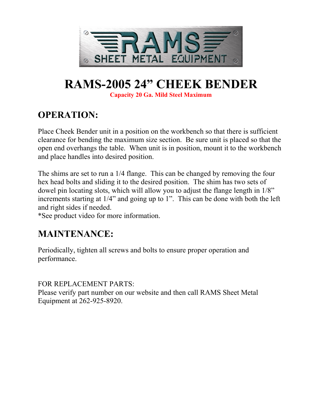

# **RAMS-2005 24" CHEEK BENDER**

**Capacity 20 Ga. Mild Steel Maximum**

# **OPERATION:**

Place Cheek Bender unit in a position on the workbench so that there is sufficient clearance for bending the maximum size section. Be sure unit is placed so that the open end overhangs the table. When unit is in position, mount it to the workbench and place handles into desired position.

The shims are set to run a 1/4 flange. This can be changed by removing the four hex head bolts and sliding it to the desired position. The shim has two sets of dowel pin locating slots, which will allow you to adjust the flange length in 1/8" increments starting at 1/4" and going up to 1". This can be done with both the left and right sides if needed.

\*See product video for more information.

## **MAINTENANCE:**

Periodically, tighten all screws and bolts to ensure proper operation and performance.

FOR REPLACEMENT PARTS:

Please verify part number on our website and then call RAMS Sheet Metal Equipment at 262-925-8920.